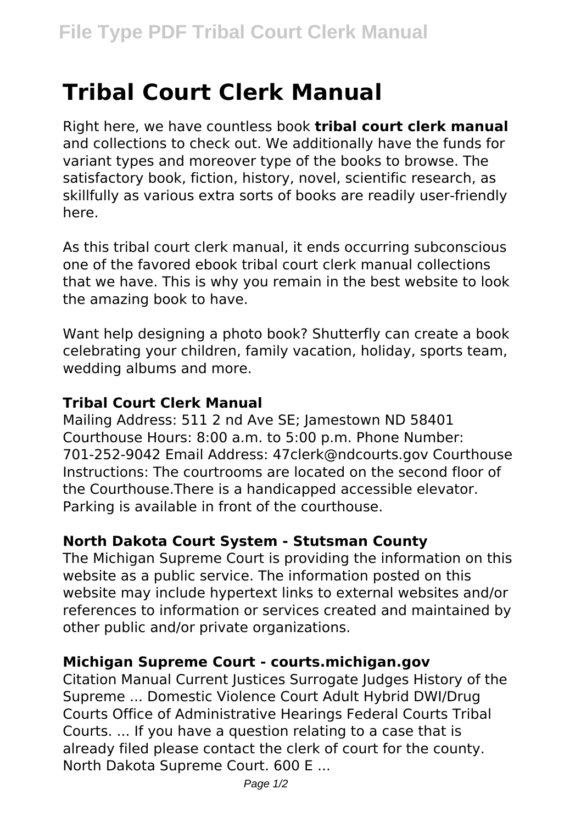# **Tribal Court Clerk Manual**

Right here, we have countless book **tribal court clerk manual** and collections to check out. We additionally have the funds for variant types and moreover type of the books to browse. The satisfactory book, fiction, history, novel, scientific research, as skillfully as various extra sorts of books are readily user-friendly here.

As this tribal court clerk manual, it ends occurring subconscious one of the favored ebook tribal court clerk manual collections that we have. This is why you remain in the best website to look the amazing book to have.

Want help designing a photo book? Shutterfly can create a book celebrating your children, family vacation, holiday, sports team, wedding albums and more.

## **Tribal Court Clerk Manual**

Mailing Address: 511 2 nd Ave SE; Jamestown ND 58401 Courthouse Hours: 8:00 a.m. to 5:00 p.m. Phone Number: 701-252-9042 Email Address: 47clerk@ndcourts.gov Courthouse Instructions: The courtrooms are located on the second floor of the Courthouse.There is a handicapped accessible elevator. Parking is available in front of the courthouse.

## **North Dakota Court System - Stutsman County**

The Michigan Supreme Court is providing the information on this website as a public service. The information posted on this website may include hypertext links to external websites and/or references to information or services created and maintained by other public and/or private organizations.

## **Michigan Supreme Court - courts.michigan.gov**

Citation Manual Current Justices Surrogate Judges History of the Supreme ... Domestic Violence Court Adult Hybrid DWI/Drug Courts Office of Administrative Hearings Federal Courts Tribal Courts. ... If you have a question relating to a case that is already filed please contact the clerk of court for the county. North Dakota Supreme Court. 600 E ...